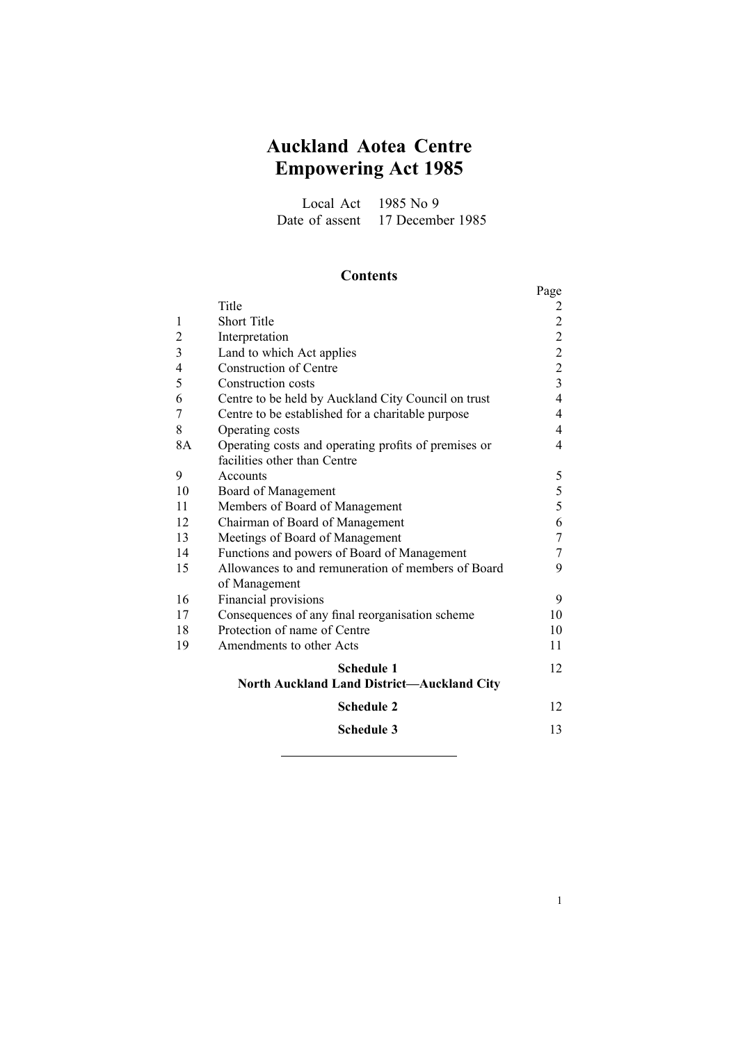# **Auckland Aotea Centre Empowering Act 1985**

Local Act 1985 No 9 Date of assent 17 December 1985

## **Contents**

|                |                                                      | Page           |
|----------------|------------------------------------------------------|----------------|
|                | Title                                                |                |
| 1              | <b>Short Title</b>                                   | $\overline{c}$ |
| $\overline{2}$ | Interpretation                                       | $\overline{2}$ |
| 3              | Land to which Act applies                            | $\overline{c}$ |
| $\overline{4}$ | <b>Construction of Centre</b>                        | $\overline{2}$ |
| 5              | Construction costs                                   | $\overline{3}$ |
| 6              | Centre to be held by Auckland City Council on trust  | $\overline{4}$ |
| 7              | Centre to be established for a charitable purpose    | 4              |
| 8              | Operating costs                                      | 4              |
| 8A             | Operating costs and operating profits of premises or | 4              |
|                | facilities other than Centre                         |                |
| 9              | Accounts                                             | 5              |
| 10             | Board of Management                                  | 5              |
| 11             | Members of Board of Management                       | 5              |
| 12             | Chairman of Board of Management                      | 6              |
| 13             | Meetings of Board of Management                      | 7              |
| 14             | Functions and powers of Board of Management          | 7              |
| 15             | Allowances to and remuneration of members of Board   | 9              |
|                | of Management                                        |                |
| 16             | Financial provisions                                 | 9              |
| 17             | Consequences of any final reorganisation scheme      | 10             |
| 18             | Protection of name of Centre                         | 10             |
| 19             | Amendments to other Acts                             | 11             |
|                | <b>Schedule 1</b>                                    | 12             |
|                | <b>North Auckland Land District-Auckland City</b>    |                |
|                | <b>Schedule 2</b>                                    | 12             |
|                | <b>Schedule 3</b>                                    | 13             |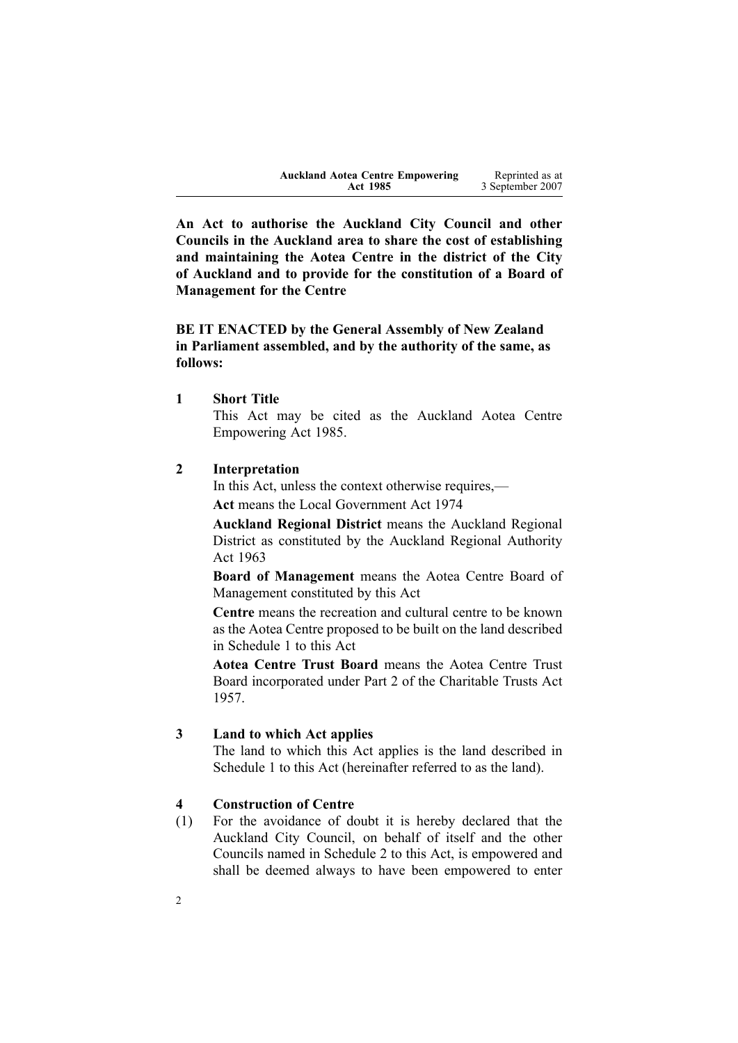| <b>Auckland Aotea Centre Empowering</b> | Reprinted as at  |
|-----------------------------------------|------------------|
| <b>Act 1985</b>                         | 3 September 2007 |

<span id="page-1-0"></span>**An Act to authorise the Auckland City Council and other Councils in the Auckland area to share the cost of establishing and maintaining the Aotea Centre in the district of the City of Auckland and to provide for the constitution of <sup>a</sup> Board of Management for the Centre**

**BE IT ENACTED by the General Assembly of New Zealand in Parliament assembled, and by the authority of the same, as follows:**

**1 Short Title**

This Act may be cited as the Auckland Aotea Centre Empowering Act 1985.

#### **2 Interpretation**

In this Act, unless the context otherwise requires,—

**Act** means the Local [Government](http://www.legislation.govt.nz/pdfLink.aspx?id=DLM415531) Act 1974

**Auckland Regional District** means the Auckland Regional District as constituted by the Auckland Regional [Authority](http://www.legislation.govt.nz/pdfLink.aspx?id=DLM61285) Act [1963](http://www.legislation.govt.nz/pdfLink.aspx?id=DLM61285)

**Board of Management** means the Aotea Centre Board of Management constituted by this Act

**Centre** means the recreation and cultural centre to be known as the Aotea Centre proposed to be built on the land described in Schedule [1](#page-10-0) to this Act

**Aotea Centre Trust Board** means the Aotea Centre Trust Board incorporated under Part 2 of the Charitable Trusts Act 1957.

#### **3 Land to which Act applies**

The land to which this Act applies is the land described in Schedule [1](#page-10-0) to this Act (hereinafter referred to as the land).

#### **4 Construction of Centre**

(1) For the avoidance of doubt it is hereby declared that the Auckland City Council, on behalf of itself and the other Councils named in Schedule [2](#page-11-0) to this Act, is empowered and shall be deemed always to have been empowered to enter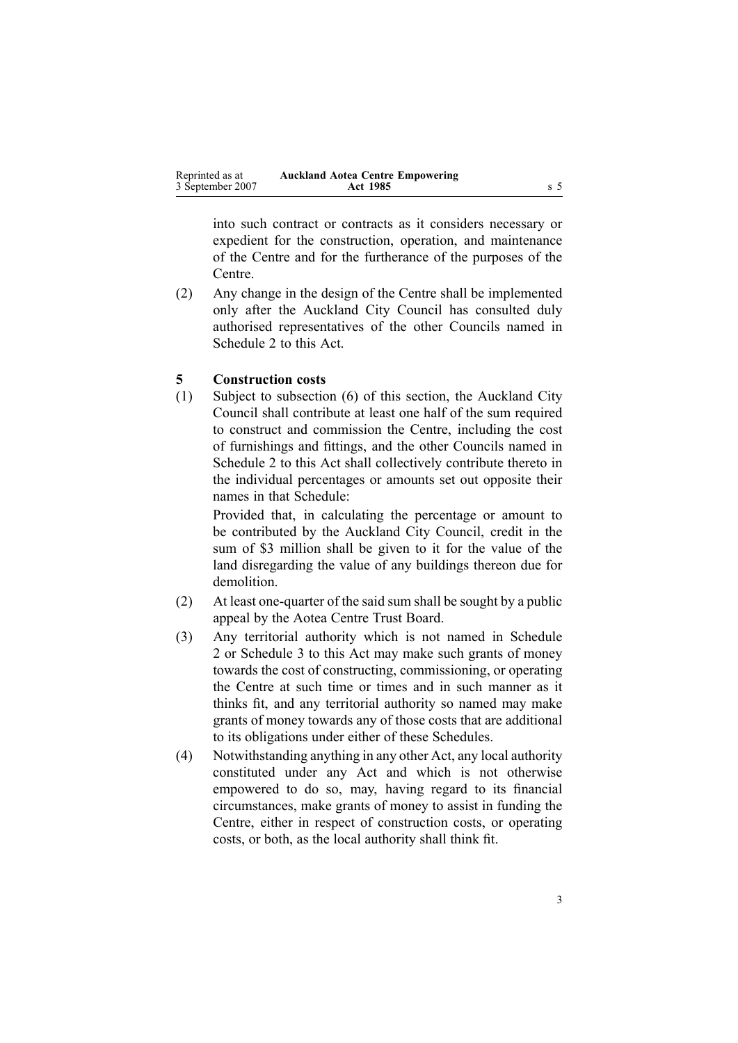<span id="page-2-0"></span>

| Reprinted as at  | <b>Auckland Aotea Centre Empowering</b> |  |
|------------------|-----------------------------------------|--|
| 3 September 2007 | <b>Act 1985</b>                         |  |

into such contract or contracts as it considers necessary or expedient for the construction, operation, and maintenance of the Centre and for the furtherance of the purposes of the Centre.

(2) Any change in the design of the Centre shall be implemented only after the Auckland City Council has consulted duly authorised representatives of the other Councils named in Schedule [2](#page-11-0) to this Act.

#### **5 Construction costs**

(1) Subject to subsection (6) of this section, the Auckland City Council shall contribute at least one half of the sum required to construct and commission the Centre, including the cost of furnishings and fittings, and the other Councils named in Schedule [2](#page-11-0) to this Act shall collectively contribute thereto in the individual percentages or amounts set out opposite their names in that Schedule:

Provided that, in calculating the percentage or amount to be contributed by the Auckland City Council, credit in the sum of \$3 million shall be given to it for the value of the land disregarding the value of any buildings thereon due for demolition.

- $(2)$  At least one-quarter of the said sum shall be sought by a public appeal by the Aotea Centre Trust Board.
- (3) Any territorial authority which is not named in Schedule [2](#page-11-0) or Schedule [3](#page-12-0) to this Act may make such grants of money towards the cost of constructing, commissioning, or operating the Centre at such time or times and in such manner as it thinks fit, and any territorial authority so named may make grants of money towards any of those costs that are additional to its obligations under either of these Schedules.
- (4) Notwithstanding anything in any other Act, any local authority constituted under any Act and which is not otherwise empowered to do so, may, having regard to its financial circumstances, make grants of money to assist in funding the Centre, either in respec<sup>t</sup> of construction costs, or operating costs, or both, as the local authority shall think fit.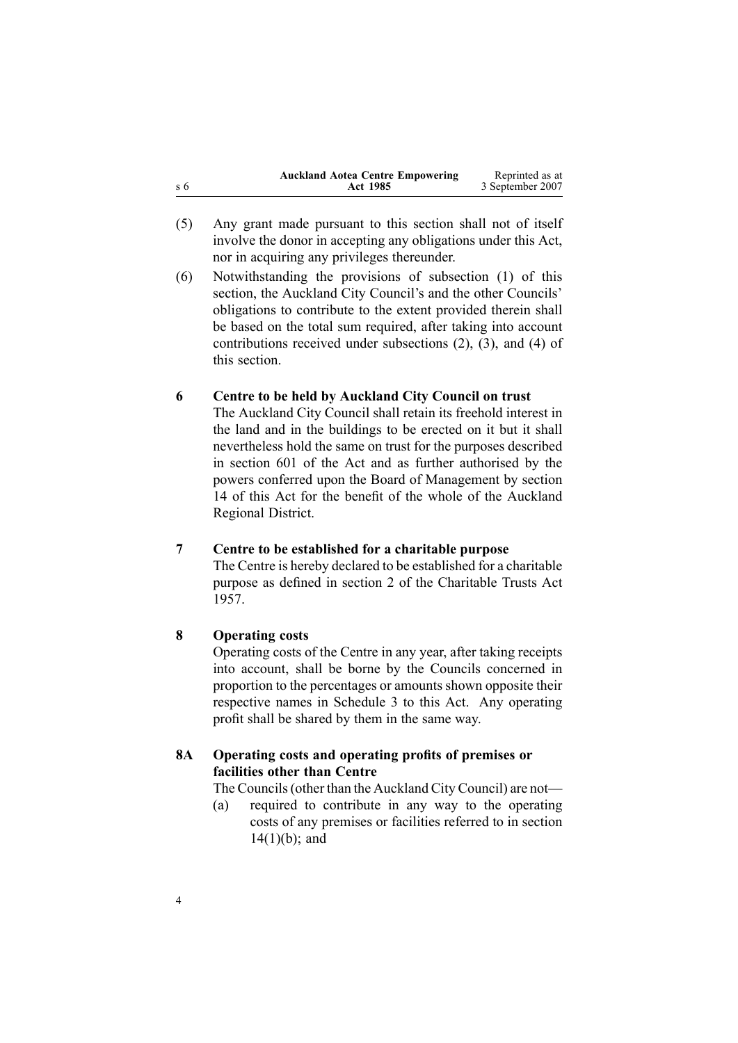<span id="page-3-0"></span>

| <b>Auckland Aotea Centre Empowering</b><br>$\sqrt{5}$<br><b>Act 1985</b> | Reprinted as at<br>3 September 2007 |
|--------------------------------------------------------------------------|-------------------------------------|
|--------------------------------------------------------------------------|-------------------------------------|

(5) Any gran<sup>t</sup> made pursuan<sup>t</sup> to this section shall not of itself involve the donor in accepting any obligations under this Act, nor in acquiring any privileges thereunder.

(6) Notwithstanding the provisions of subsection [\(1\)](#page-2-0) of this section, the Auckland City Council's and the other Councils' obligations to contribute to the extent provided therein shall be based on the total sum required, after taking into account contributions received under subsections [\(2\)](#page-2-0), [\(3\)](#page-2-0), and [\(4\)](#page-2-0) of this section.

#### **6 Centre to be held by Auckland City Council on trust**

The Auckland City Council shall retain its freehold interest in the land and in the buildings to be erected on it but it shall nevertheless hold the same on trust for the purposes described in section [601](http://www.legislation.govt.nz/pdfLink.aspx?id=DLM422910) of the Act and as further authorised by the powers conferred upon the Board of Management by section [14](#page-6-0) of this Act for the benefit of the whole of the Auckland Regional District.

## **7 Centre to be established for <sup>a</sup> charitable purpose**

The Centre is hereby declared to be established for <sup>a</sup> charitable purpose as defined in section [2](http://www.legislation.govt.nz/pdfLink.aspx?id=DLM309902) of the [Charitable](http://www.legislation.govt.nz/pdfLink.aspx?id=DLM308795) Trusts Act [1957](http://www.legislation.govt.nz/pdfLink.aspx?id=DLM308795).

#### **8 Operating costs**

Operating costs of the Centre in any year, after taking receipts into account, shall be borne by the Councils concerned in proportion to the percentages or amounts shown opposite their respective names in Schedule [3](#page-12-0) to this Act. Any operating profit shall be shared by them in the same way.

### **8A Operating costs and operating profits of premises or facilities other than Centre**

The Councils(other than the Auckland City Council) are not—

(a) required to contribute in any way to the operating costs of any premises or facilities referred to in section  $14(1)(b)$ ; and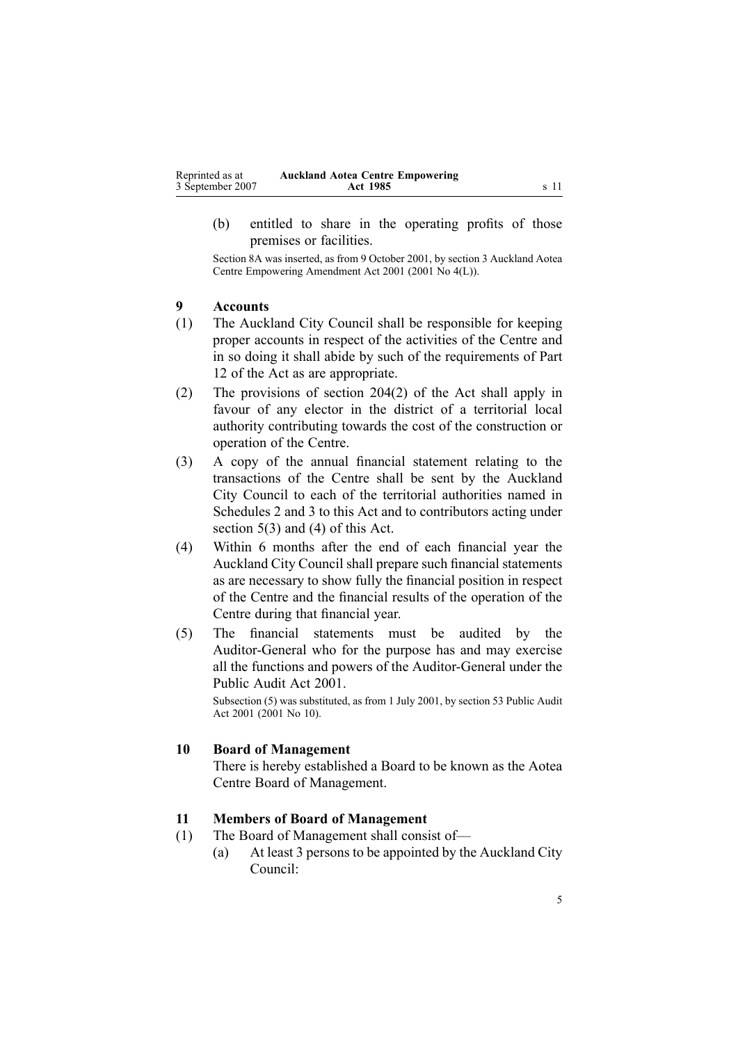<span id="page-4-0"></span>(b) entitled to share in the operating profits of those premises or facilities.

Section 8A was inserted, as from 9 October 2001, by section [3](http://www.legislation.govt.nz/pdfLink.aspx?id=DLM86131) Auckland Aotea Centre Empowering Amendment Act 2001 (2001 No 4(L)).

## **9 Accounts**

- (1) The Auckland City Council shall be responsible for keeping proper accounts in respec<sup>t</sup> of the activities of the Centre and in so doing it shall abide by such of the requirements of Part [12](http://www.legislation.govt.nz/pdfLink.aspx?id=DLM419468) of the Act as are appropriate.
- (2) The provisions of section [204\(2\)](http://www.legislation.govt.nz/pdfLink.aspx?id=DLM419483) of the Act shall apply in favour of any elector in the district of <sup>a</sup> territorial local authority contributing towards the cost of the construction or operation of the Centre.
- (3) A copy of the annual financial statement relating to the transactions of the Centre shall be sent by the Auckland City Council to each of the territorial authorities named in Schedules [2](#page-11-0) and [3](#page-12-0) to this Act and to contributors acting under section [5\(3\)](#page-2-0) and [\(4\)](#page-2-0) of this Act.
- (4) Within 6 months after the end of each financial year the Auckland City Council shall prepare such financial statements as are necessary to show fully the financial position in respec<sup>t</sup> of the Centre and the financial results of the operation of the Centre during that financial year.
- (5) The financial statements must be audited by the Auditor-General who for the purpose has and may exercise all the functions and powers of the Auditor-General under the [Public](http://www.legislation.govt.nz/pdfLink.aspx?id=DLM88540) Audit Act 2001.

Subsection (5) was substituted, as from 1 July 2001, by section [53](http://www.legislation.govt.nz/pdfLink.aspx?id=DLM88957) Public Audit Act 2001 (2001 No 10).

#### **10 Board of Management**

There is hereby established <sup>a</sup> Board to be known as the Aotea Centre Board of Management.

#### **11 Members of Board of Management**

- (1) The Board of Management shall consist of—
	- (a) At least 3 persons to be appointed by the Auckland City Council: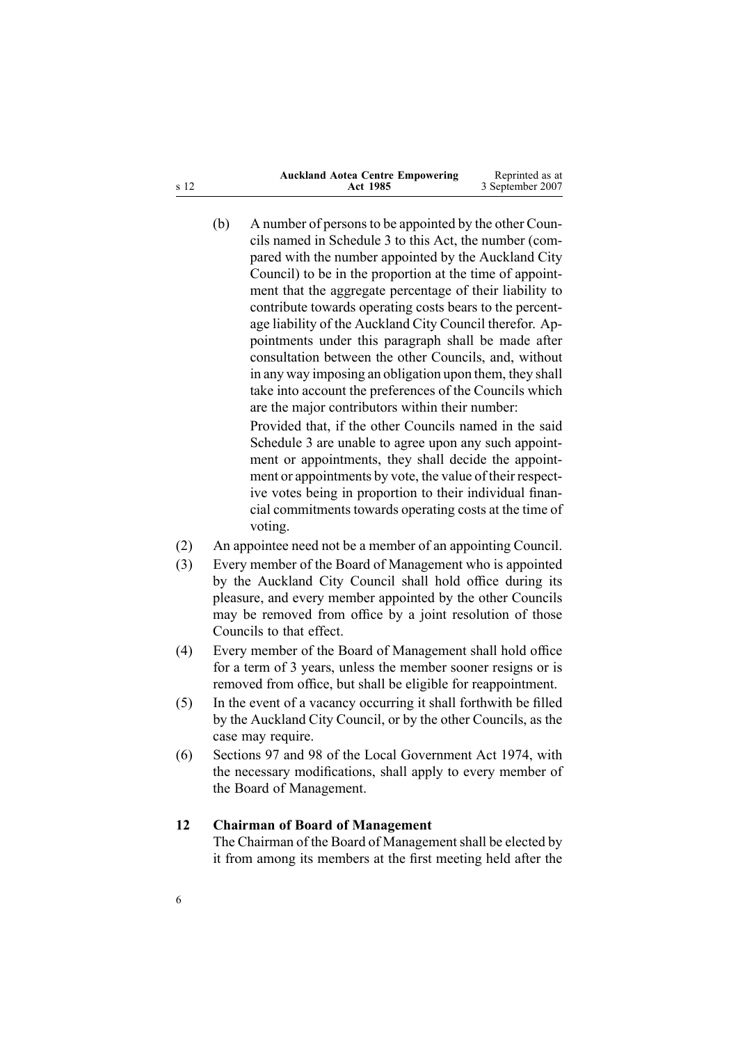| <b>Auckland Aotea Centre Empowering</b> | Reprinted as at  |
|-----------------------------------------|------------------|
| <b>Act 1985</b>                         | 3 September 2007 |
|                                         |                  |

 $(b)$  A number of persons to be appointed by the other Councils named in Schedule [3](#page-12-0) to this Act, the number (compared with the number appointed by the Auckland City Council) to be in the proportion at the time of appointment that the aggregate percentage of their liability to contribute towards operating costs bears to the percentage liability of the Auckland City Council therefor. Appointments under this paragraph shall be made after consultation between the other Councils, and, without in any way imposing an obligation upon them, they shall take into account the preferences of the Councils which are the major contributors within their number:

Provided that, if the other Councils named in the said Schedule [3](#page-12-0) are unable to agree upon any such appointment or appointments, they shall decide the appointment or appointments by vote, the value of their respective votes being in proportion to their individual financial commitments towards operating costs at the time of voting.

- (2) An appointee need not be <sup>a</sup> member of an appointing Council.
- (3) Every member of the Board of Management who is appointed by the Auckland City Council shall hold office during its pleasure, and every member appointed by the other Councils may be removed from office by <sup>a</sup> joint resolution of those Councils to that effect.
- (4) Every member of the Board of Management shall hold office for <sup>a</sup> term of 3 years, unless the member sooner resigns or is removed from office, but shall be eligible for reappointment.
- (5) In the event of <sup>a</sup> vacancy occurring it shall forthwith be filled by the Auckland City Council, or by the other Councils, as the case may require.
- (6) Sections [97](http://www.legislation.govt.nz/pdfLink.aspx?id=DLM417630) and [98](http://www.legislation.govt.nz/pdfLink.aspx?id=DLM417634) of the Local [Government](http://www.legislation.govt.nz/pdfLink.aspx?id=DLM415531) Act 1974, with the necessary modifications, shall apply to every member of the Board of Management.

#### **12 Chairman of Board of Management**

The Chairman of the Board of Management shall be elected by it from among its members at the first meeting held after the

<span id="page-5-0"></span><sup>s</sup> 12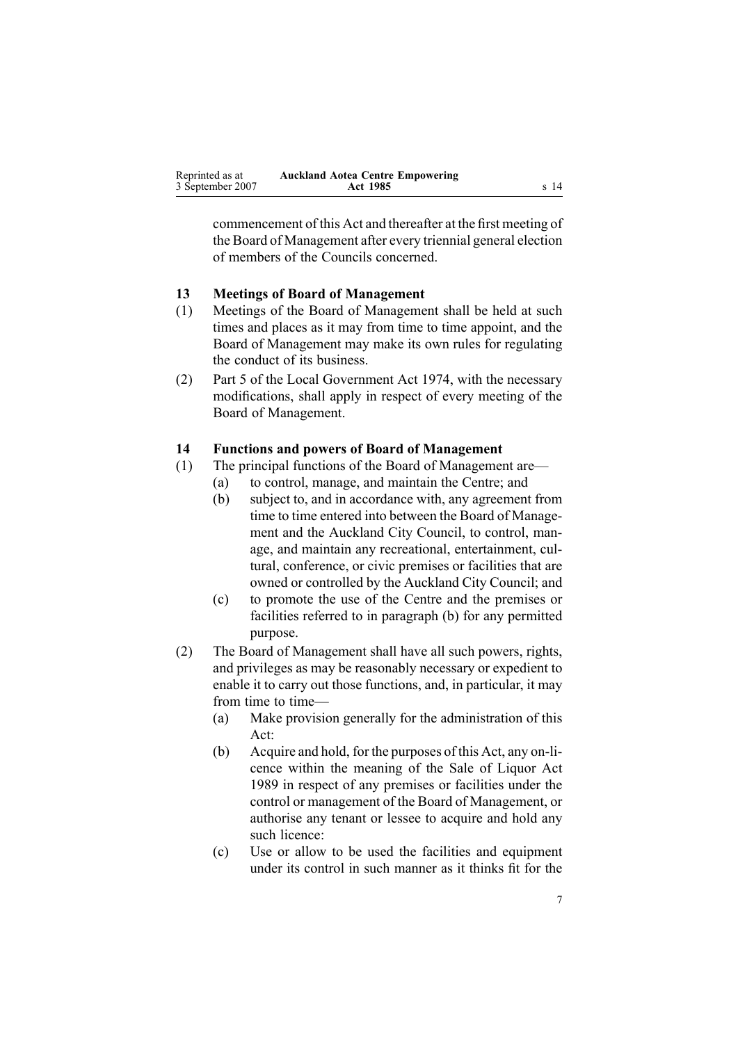<span id="page-6-0"></span>commencement of this Act and thereafter at the first meeting of the Board of Management after every triennial general election of members of the Councils concerned.

#### **13 Meetings of Board of Management**

- (1) Meetings of the Board of Management shall be held at such times and places as it may from time to time appoint, and the Board of Management may make its own rules for regulating the conduct of its business.
- (2) Part [5](http://www.legislation.govt.nz/pdfLink.aspx?id=DLM418154) of the Local [Government](http://www.legislation.govt.nz/pdfLink.aspx?id=DLM415531) Act 1974, with the necessary modifications, shall apply in respec<sup>t</sup> of every meeting of the Board of Management.

#### **14 Functions and powers of Board of Management**

- (1) The principal functions of the Board of Management are—
	- (a) to control, manage, and maintain the Centre; and
	- (b) subject to, and in accordance with, any agreemen<sup>t</sup> from time to time entered into between the Board of Management and the Auckland City Council, to control, manage, and maintain any recreational, entertainment, cultural, conference, or civic premises or facilities that are owned or controlled by the Auckland City Council; and
	- (c) to promote the use of the Centre and the premises or facilities referred to in paragraph (b) for any permitted purpose.
- (2) The Board of Management shall have all such powers, rights, and privileges as may be reasonably necessary or expedient to enable it to carry out those functions, and, in particular, it may from time to time—
	- (a) Make provision generally for the administration of this Act:
	- $(b)$  Acquire and hold, for the purposes of this Act, any on-licence within the meaning of the Sale of [Liquor](http://www.legislation.govt.nz/pdfLink.aspx?id=DLM165115) Act [1989](http://www.legislation.govt.nz/pdfLink.aspx?id=DLM165115) in respec<sup>t</sup> of any premises or facilities under the control or managemen<sup>t</sup> of the Board of Management, or authorise any tenant or lessee to acquire and hold any such licence:
	- (c) Use or allow to be used the facilities and equipment under its control in such manner as it thinks fit for the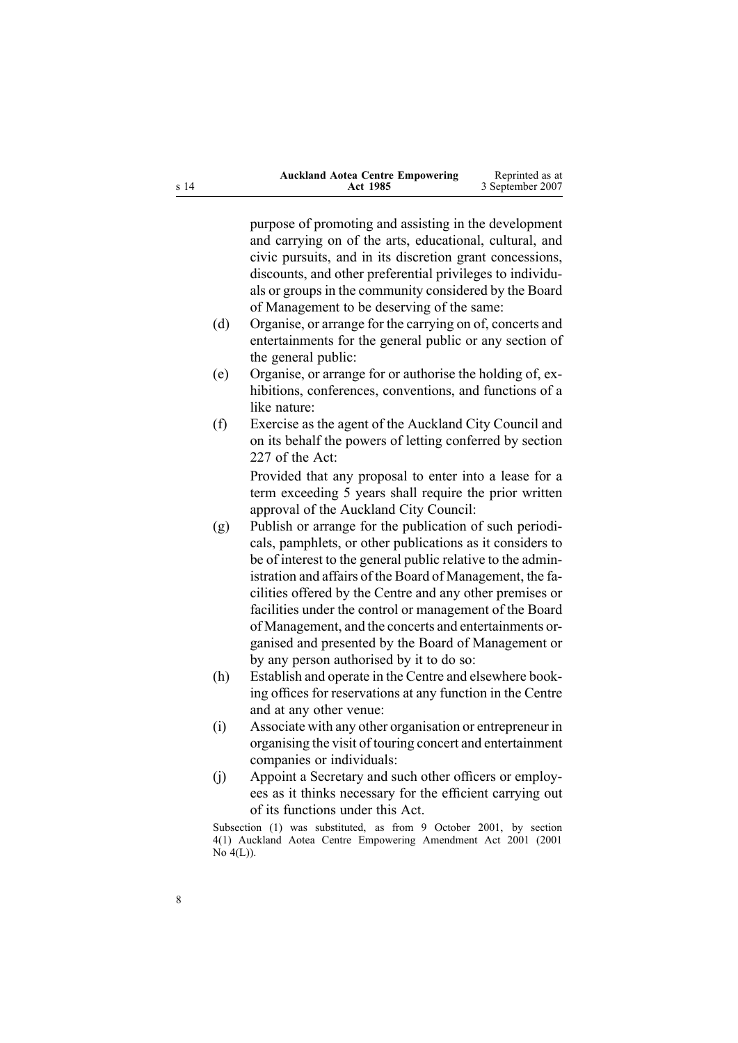| <b>Auckland Aotea Centre Empowering</b> | Reprinted as at  |
|-----------------------------------------|------------------|
| <b>Act 1985</b>                         | 3 September 2007 |

purpose of promoting and assisting in the development and carrying on of the arts, educational, cultural, and civic pursuits, and in its discretion gran<sup>t</sup> concessions, discounts, and other preferential privileges to individuals or groups in the community considered by the Board of Management to be deserving of the same:

- (d) Organise, or arrange for the carrying on of, concerts and entertainments for the general public or any section of the general public:
- (e) Organise, or arrange for or authorise the holding of, exhibitions, conferences, conventions, and functions of a like nature:
- (f) Exercise as the agen<sup>t</sup> of the Auckland City Council and on its behalf the powers of letting conferred by section [227](http://www.legislation.govt.nz/pdfLink.aspx?id=DLM419720) of the Act:

Provided that any proposal to enter into <sup>a</sup> lease for <sup>a</sup> term exceeding 5 years shall require the prior written approval of the Auckland City Council:

- (g) Publish or arrange for the publication of such periodicals, pamphlets, or other publications as it considers to be of interest to the general public relative to the administration and affairs of the Board of Management, the facilities offered by the Centre and any other premises or facilities under the control or managemen<sup>t</sup> of the Board of Management, and the concerts and entertainments organised and presented by the Board of Management or by any person authorised by it to do so:
- (h) Establish and operate in the Centre and elsewhere booking offices for reservations at any function in the Centre and at any other venue:
- (i) Associate with any other organisation or entrepreneur in organising the visit of touring concert and entertainment companies or individuals:
- (j) Appoint <sup>a</sup> Secretary and such other officers or employees as it thinks necessary for the efficient carrying out of its functions under this Act.

Subsection (1) was substituted, as from 9 October 2001, by section [4\(1\)](http://www.legislation.govt.nz/pdfLink.aspx?id=DLM86133) Auckland Aotea Centre Empowering Amendment Act 2001 (2001 No  $4(L)$ ).

<sup>s</sup> 14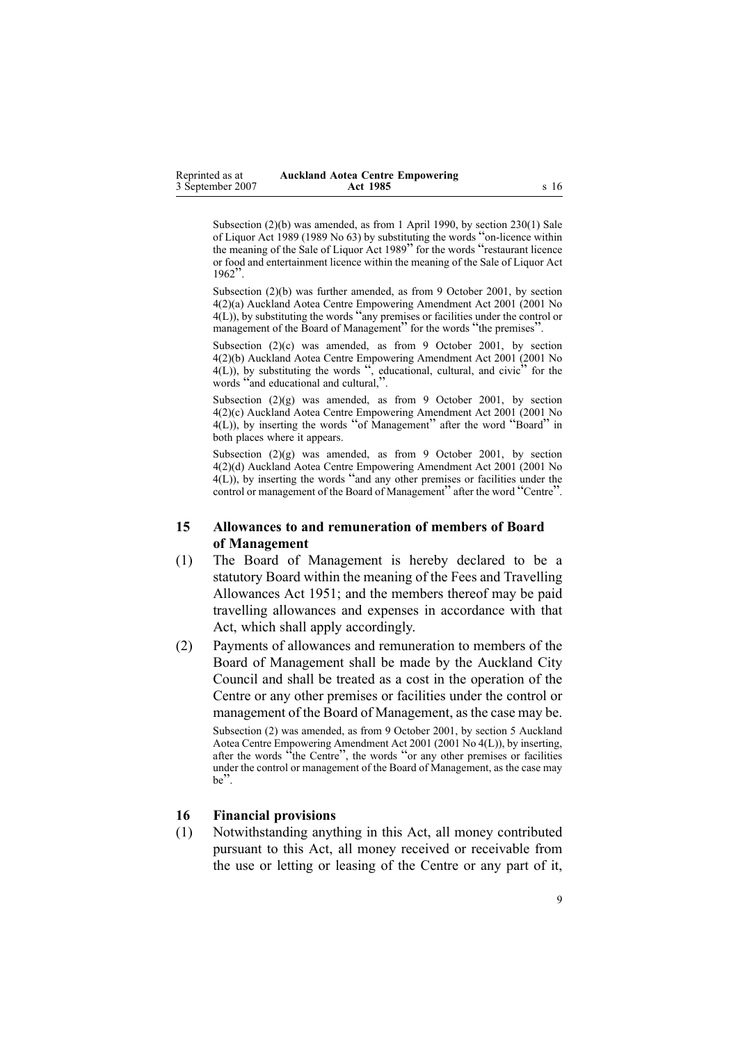<span id="page-8-0"></span>Subsection (2)(b) was amended, as from 1 April 1990, by section [230\(1\)](http://www.legislation.govt.nz/pdfLink.aspx?id=DLM167530) Sale of Liquor Act 1989 (1989 No 63) by substituting the words "on-licence within the meaning of the Sale of Liquor Act <sup>1989</sup>" for the words "restaurant licence or food and entertainment licence within the meaning of the Sale of Liquor Act 1962".

Subsection (2)(b) was further amended, as from 9 October 2001, by section [4\(2\)\(a\)](http://www.legislation.govt.nz/pdfLink.aspx?id=DLM86133) Auckland Aotea Centre Empowering Amendment Act 2001 (2001 No 4(L)), by substituting the words "any premises or facilities under the control or management of the Board of Management" for the words "the premises".

Subsection (2)(c) was amended, as from 9 October 2001, by section [4\(2\)\(b\)](http://www.legislation.govt.nz/pdfLink.aspx?id=DLM86133) Auckland Aotea Centre Empowering Amendment Act 2001 (2001 No  $4(L)$ ), by substituting the words ", educational, cultural, and civic" for the words "and educational and cultural,".

Subsection (2)(g) was amended, as from 9 October 2001, by section [4\(2\)\(c\)](http://www.legislation.govt.nz/pdfLink.aspx?id=DLM86133) Auckland Aotea Centre Empowering Amendment Act 2001 (2001 No  $4(L)$ ), by inserting the words "of Management" after the word "Board" in both places where it appears.

Subsection  $(2)(g)$  was amended, as from 9 October 2001, by section [4\(2\)\(d\)](http://www.legislation.govt.nz/pdfLink.aspx?id=DLM86133) Auckland Aotea Centre Empowering Amendment Act 2001 (2001 No 4(L)), by inserting the words "and any other premises or facilities under the control or management of the Board of Management" after the word "Centre".

#### **15 Allowances to and remuneration of members of Board of Management**

- (1) The Board of Management is hereby declared to be <sup>a</sup> statutory Board within the meaning of the Fees and [Travelling](http://www.legislation.govt.nz/pdfLink.aspx?id=DLM264952) [Allowances](http://www.legislation.govt.nz/pdfLink.aspx?id=DLM264952) Act 1951; and the members thereof may be paid travelling allowances and expenses in accordance with that Act, which shall apply accordingly.
- (2) Payments of allowances and remuneration to members of the Board of Management shall be made by the Auckland City Council and shall be treated as <sup>a</sup> cost in the operation of the Centre or any other premises or facilities under the control or managemen<sup>t</sup> of the Board of Management, as the case may be.

Subsection (2) was amended, as from 9 October 2001, by section [5](http://www.legislation.govt.nz/pdfLink.aspx?id=DLM86134) Auckland Aotea Centre Empowering Amendment Act 2001 (2001 No 4(L)), by inserting, after the words "the Centre", the words "or any other premises or facilities under the control or managemen<sup>t</sup> of the Board of Management, as the case may be".

#### **16 Financial provisions**

(1) Notwithstanding anything in this Act, all money contributed pursuan<sup>t</sup> to this Act, all money received or receivable from the use or letting or leasing of the Centre or any par<sup>t</sup> of it,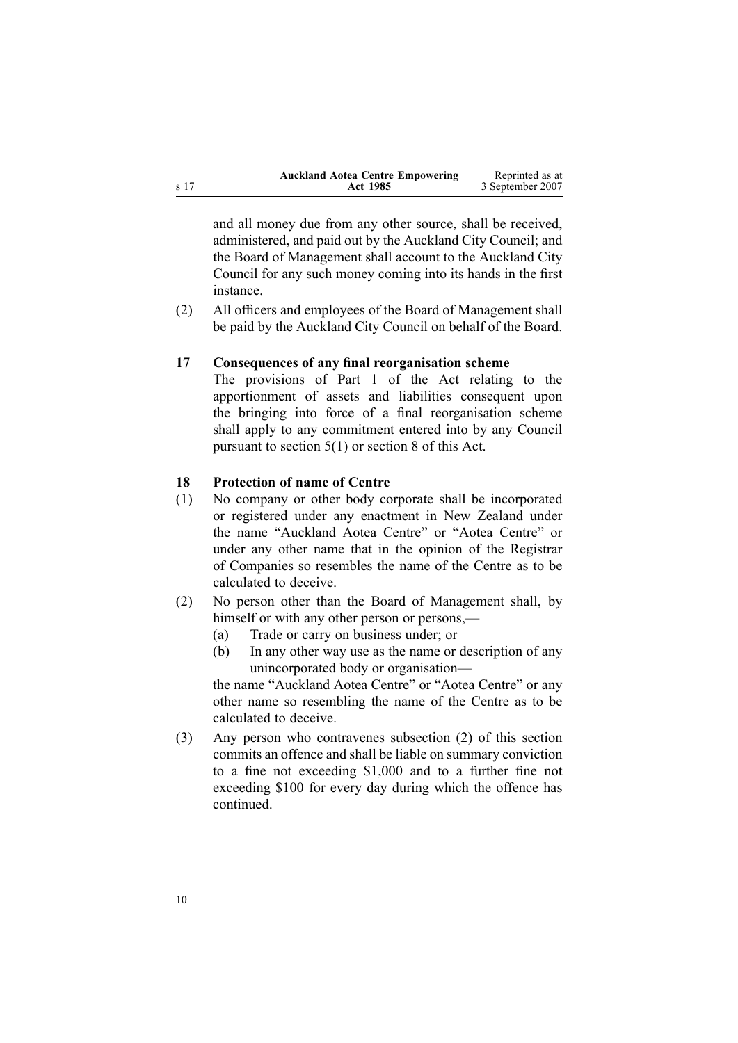<span id="page-9-0"></span>

|      | <b>Auckland Aotea Centre Empowering</b> | Reprinted as at  |
|------|-----------------------------------------|------------------|
| s 17 | Act 1985                                | 3 September 2007 |

and all money due from any other source, shall be received, administered, and paid out by the Auckland City Council; and the Board of Management shall account to the Auckland City Council for any such money coming into its hands in the first instance.

(2) All officers and employees of the Board of Management shall be paid by the Auckland City Council on behalf of the Board.

#### **17 Consequences of any final reorganisation scheme**

The provisions of Part [1](http://www.legislation.govt.nz/pdfLink.aspx?id=DLM416138) of the Act relating to the apportionment of assets and liabilities consequen<sup>t</sup> upon the bringing into force of <sup>a</sup> final reorganisation scheme shall apply to any commitment entered into by any Council pursuan<sup>t</sup> to section [5\(1\)](#page-2-0) or section [8](#page-3-0) of this Act.

#### **18 Protection of name of Centre**

- (1) No company or other body corporate shall be incorporated or registered under any enactment in New Zealand under the name "Auckland Aotea Centre" or "Aotea Centre" or under any other name that in the opinion of the Registrar of Companies so resembles the name of the Centre as to be calculated to deceive.
- (2) No person other than the Board of Management shall, by himself or with any other person or persons,—
	- (a) Trade or carry on business under; or
	- (b) In any other way use as the name or description of any unincorporated body or organisation—

the name "Auckland Aotea Centre" or "Aotea Centre" or any other name so resembling the name of the Centre as to be calculated to deceive.

(3) Any person who contravenes subsection (2) of this section commits an offence and shall be liable on summary conviction to <sup>a</sup> fine not exceeding \$1,000 and to <sup>a</sup> further fine not exceeding \$100 for every day during which the offence has continued.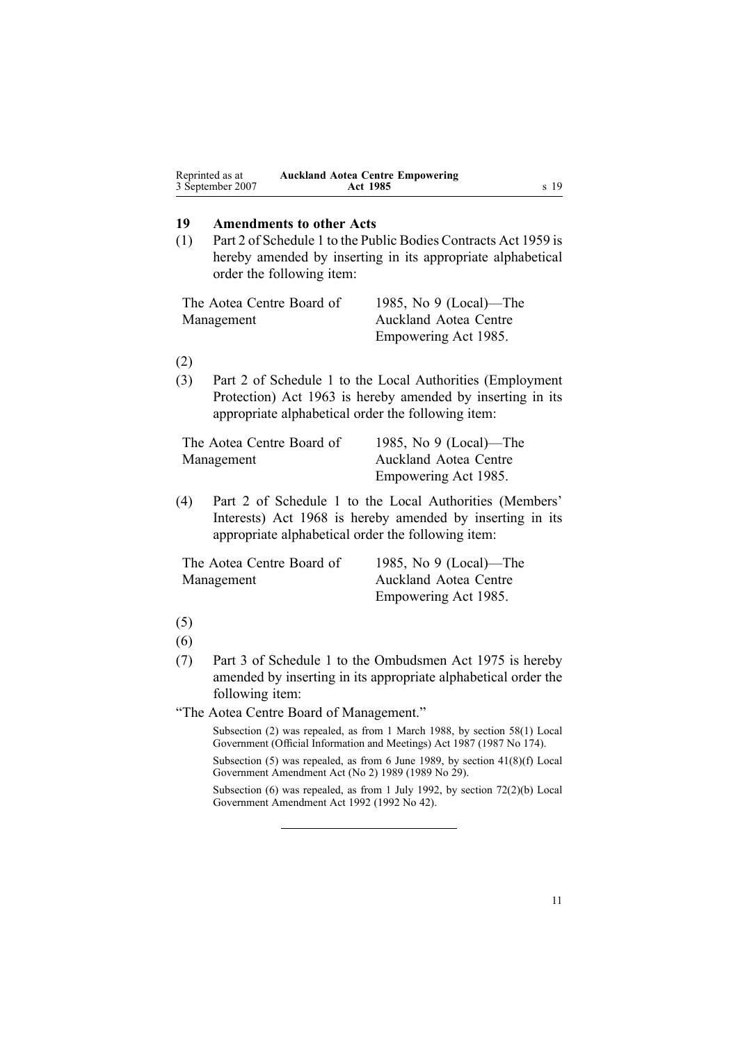<span id="page-10-0"></span>

| Reprinted as at  | <b>Auckland Aotea Centre Empowering</b> |
|------------------|-----------------------------------------|
| 3 September 2007 | Act 1985                                |

#### **19 Amendments to other Acts**

(1) Part [2](http://www.legislation.govt.nz/pdfLink.aspx?id=DLM324284) of Schedule 1 to the Public Bodies [Contracts](http://www.legislation.govt.nz/pdfLink.aspx?id=DLM324218) Act 1959 is hereby amended by inserting in its appropriate alphabetical order the following item:

| The Aotea Centre Board of | 1985, No $9$ (Local)—The |
|---------------------------|--------------------------|
| Management                | Auckland Aotea Centre    |
|                           | Empowering Act 1985.     |

(2)

(3) Part 2 of Schedule 1 to the Local Authorities (Employment Protection) Act 1963 is hereby amended by inserting in its appropriate alphabetical order the following item:

| The Aotea Centre Board of | 1985, No $9$ (Local)—The     |
|---------------------------|------------------------------|
| Management                | <b>Auckland Aotea Centre</b> |
|                           | Empowering Act 1985.         |

(4) Part [2](http://www.legislation.govt.nz/pdfLink.aspx?id=DLM390522) of Schedule 1 to the Local Authorities [\(Members'](http://www.legislation.govt.nz/pdfLink.aspx?id=DLM390002) [Interests\)](http://www.legislation.govt.nz/pdfLink.aspx?id=DLM390002) Act 1968 is hereby amended by inserting in its appropriate alphabetical order the following item:

| The Aotea Centre Board of | 1985, No $9$ (Local)—The     |
|---------------------------|------------------------------|
| Management                | <b>Auckland Aotea Centre</b> |
|                           | Empowering Act 1985.         |

<sup>(5)</sup>

- (6)
- (7) Part [3](http://www.legislation.govt.nz/pdfLink.aspx?id=DLM431685) of Schedule 1 to the [Ombudsmen](http://www.legislation.govt.nz/pdfLink.aspx?id=DLM430983) Act 1975 is hereby amended by inserting in its appropriate alphabetical order the following item:
- "The Aotea Centre Board of Management."

Subsection (2) was repealed, as from 1 March 1988, by section [58\(1\)](http://www.legislation.govt.nz/pdfLink.aspx?id=DLM123615) Local Government (Official Information and Meetings) Act 1987 (1987 No 174).

Subsection (5) was repealed, as from 6 June 1989, by section 41(8)(f) Local Government Amendment Act (No 2) 1989 (1989 No 29).

Subsection (6) was repealed, as from 1 July 1992, by section [72\(2\)\(b\)](http://www.legislation.govt.nz/pdfLink.aspx?id=DLM261849) Local Government Amendment Act 1992 (1992 No 42).

**Act 1985** <sup>s</sup> 19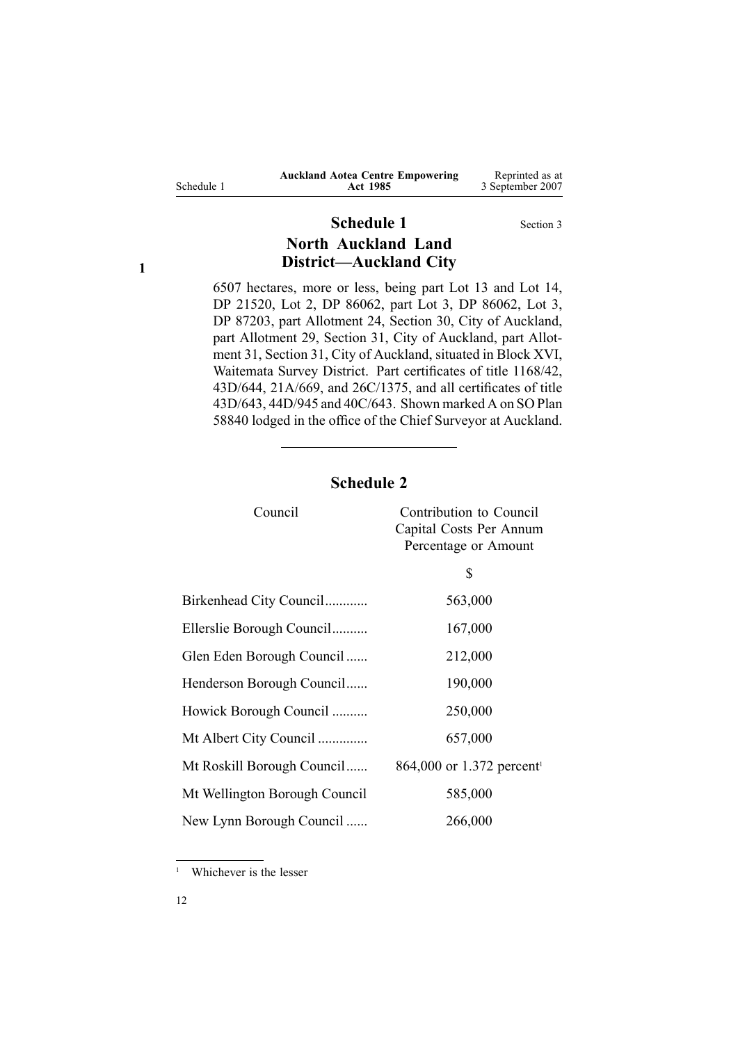<span id="page-11-0"></span>

| Schedule 1 |  |
|------------|--|
|            |  |

# **Schedule 1** Section [3](#page-1-0) **North Auckland Land District—Auckland City**

6507 hectares, more or less, being par<sup>t</sup> Lot 13 and Lot 14, DP 21520, Lot 2, DP 86062, par<sup>t</sup> Lot 3, DP 86062, Lot 3, DP 87203, par<sup>t</sup> Allotment 24, Section 30, City of Auckland, par<sup>t</sup> Allotment 29, Section 31, City of Auckland, par<sup>t</sup> Allotment 31, Section 31, City of Auckland, situated in Block XVI, Waitemata Survey District. Part certificates of title 1168/42, 43D/644, 21A/669, and 26C/1375, and all certificates of title 43D/643, 44D/945 and 40C/643. Shown marked A on SO Plan 58840 lodged in the office of the Chief Surveyor at Auckland.

# **Schedule 2**

| Council                       | Contribution to Council<br>Capital Costs Per Annum<br>Percentage or Amount |
|-------------------------------|----------------------------------------------------------------------------|
|                               | \$                                                                         |
| Birkenhead City Council       | 563,000                                                                    |
| Ellerslie Borough Council     | 167,000                                                                    |
| Glen Eden Borough Council     | 212,000                                                                    |
| Henderson Borough Council     | 190,000                                                                    |
| Howick Borough Council        | 250,000                                                                    |
| Mt Albert City Council        | 657,000                                                                    |
| Mt Roskill Borough Council    | 864,000 or 1.372 percent <sup>1</sup>                                      |
| Mt Wellington Borough Council | 585,000                                                                    |
| New Lynn Borough Council      | 266,000                                                                    |

<sup>1</sup> Whichever is the lesser

**1**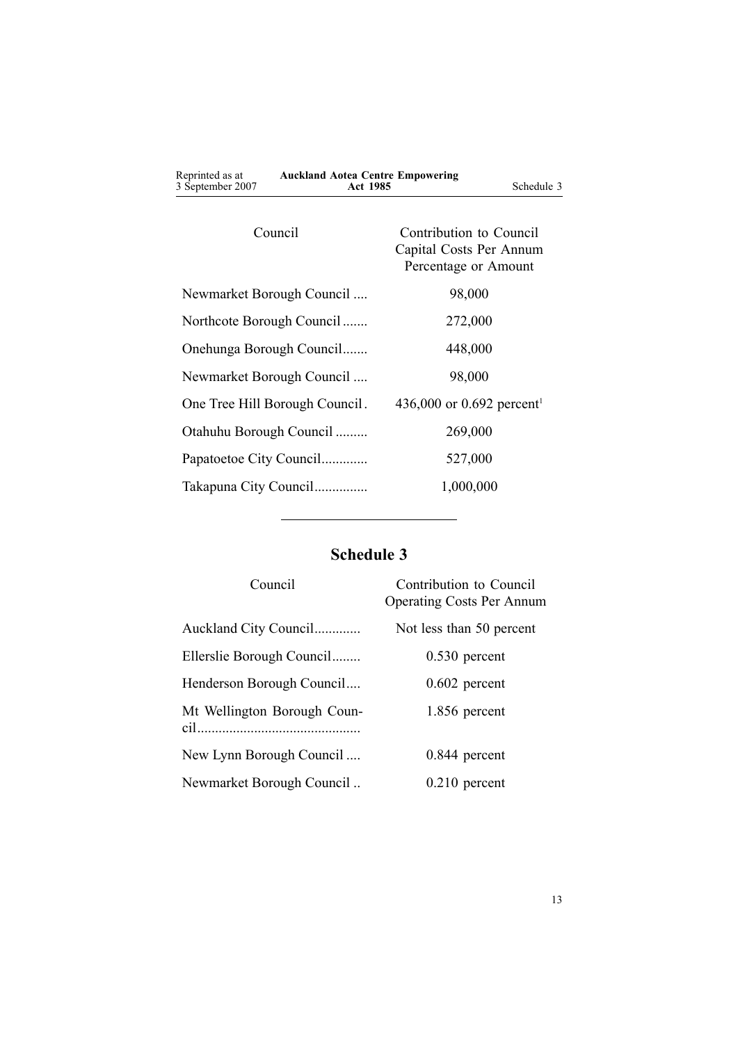<span id="page-12-0"></span>

| <b>Auckland Aotea Centre Empowering</b><br><b>Act 1985</b><br>Schedule 3   |  |
|----------------------------------------------------------------------------|--|
| Contribution to Council<br>Capital Costs Per Annum<br>Percentage or Amount |  |
| 98,000                                                                     |  |
| 272,000                                                                    |  |
| 448,000                                                                    |  |
| 98,000                                                                     |  |
| 436,000 or 0.692 percent <sup>1</sup>                                      |  |
| 269,000                                                                    |  |
| 527,000                                                                    |  |
| 1,000,000                                                                  |  |
|                                                                            |  |

# **Schedule 3**

| Council                     | Contribution to Council<br><b>Operating Costs Per Annum</b> |
|-----------------------------|-------------------------------------------------------------|
| Auckland City Council       | Not less than 50 percent                                    |
| Ellerslie Borough Council   | $0.530$ percent                                             |
| Henderson Borough Council   | $0.602$ percent                                             |
| Mt Wellington Borough Coun- | 1.856 percent                                               |
| New Lynn Borough Council    | $0.844$ percent                                             |
| Newmarket Borough Council   | $0.210$ percent                                             |